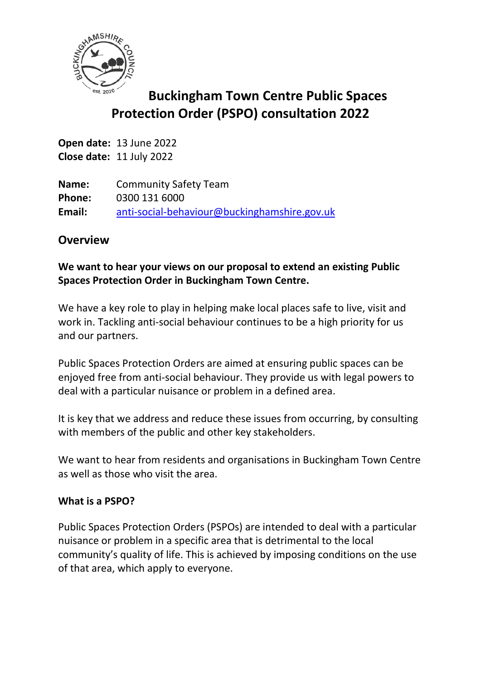

# **Buckingham Town Centre Public Spaces Protection Order (PSPO) consultation 2022**

**Open date:** 13 June 2022 **Close date:** 11 July 2022

**Name:** Community Safety Team **Phone:** 0300 131 6000 **Email:** [anti-social-behaviour@buckinghamshire.gov.uk](mailto:anti-social-behaviour@buckinghamshire.gov.uk)

## **Overview**

## **We want to hear your views on our proposal to extend an existing Public Spaces Protection Order in Buckingham Town Centre.**

We have a key role to play in helping make local places safe to live, visit and work in. Tackling anti-social behaviour continues to be a high priority for us and our partners.

Public Spaces Protection Orders are aimed at ensuring public spaces can be enjoyed free from anti-social behaviour. They provide us with legal powers to deal with a particular nuisance or problem in a defined area.

It is key that we address and reduce these issues from occurring, by consulting with members of the public and other key stakeholders.

We want to hear from residents and organisations in Buckingham Town Centre as well as those who visit the area.

#### **What is a PSPO?**

Public Spaces Protection Orders (PSPOs) are intended to deal with a particular nuisance or problem in a specific area that is detrimental to the local community's quality of life. This is achieved by imposing conditions on the use of that area, which apply to everyone.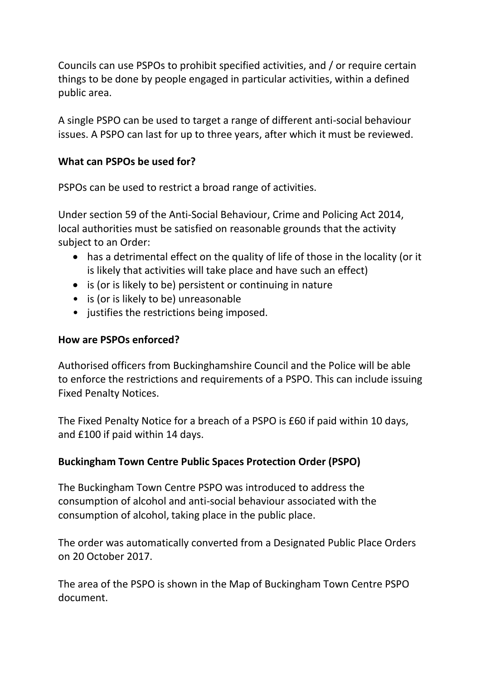Councils can use PSPOs to prohibit specified activities, and / or require certain things to be done by people engaged in particular activities, within a defined public area.

A single PSPO can be used to target a range of different anti-social behaviour issues. A PSPO can last for up to three years, after which it must be reviewed.

## **What can PSPOs be used for?**

PSPOs can be used to restrict a broad range of activities.

Under section 59 of the Anti-Social Behaviour, Crime and Policing Act 2014, local authorities must be satisfied on reasonable grounds that the activity subject to an Order:

- has a detrimental effect on the quality of life of those in the locality (or it is likely that activities will take place and have such an effect)
- is (or is likely to be) persistent or continuing in nature
- is (or is likely to be) unreasonable
- justifies the restrictions being imposed.

### **How are PSPOs enforced?**

Authorised officers from Buckinghamshire Council and the Police will be able to enforce the restrictions and requirements of a PSPO. This can include issuing Fixed Penalty Notices.

The Fixed Penalty Notice for a breach of a PSPO is £60 if paid within 10 days, and £100 if paid within 14 days.

## **Buckingham Town Centre Public Spaces Protection Order (PSPO)**

The Buckingham Town Centre PSPO was introduced to address the consumption of alcohol and anti-social behaviour associated with the consumption of alcohol, taking place in the public place.

The order was automatically converted from a Designated Public Place Orders on 20 October 2017.

The area of the PSPO is shown in the Map of Buckingham Town Centre PSPO document.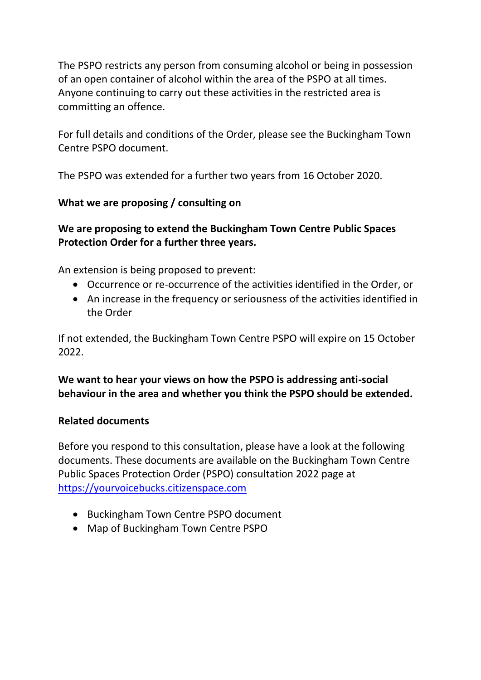The PSPO restricts any person from consuming alcohol or being in possession of an open container of alcohol within the area of the PSPO at all times. Anyone continuing to carry out these activities in the restricted area is committing an offence.

For full details and conditions of the Order, please see the Buckingham Town Centre PSPO document.

The PSPO was extended for a further two years from 16 October 2020.

### **What we are proposing / consulting on**

## **We are proposing to extend the Buckingham Town Centre Public Spaces Protection Order for a further three years.**

An extension is being proposed to prevent:

- Occurrence or re-occurrence of the activities identified in the Order, or
- An increase in the frequency or seriousness of the activities identified in the Order

If not extended, the Buckingham Town Centre PSPO will expire on 15 October  $2022$ 

**We want to hear your views on how the PSPO is addressing anti-social behaviour in the area and whether you think the PSPO should be extended.**

#### **Related documents**

Before you respond to this consultation, please have a look at the following documents. These documents are available on the Buckingham Town Centre Public Spaces Protection Order (PSPO) consultation 2022 page at [https://yourvoicebucks.citizenspace.com](https://yourvoicebucks.citizenspace.com/)

- Buckingham Town Centre PSPO document
- Map of Buckingham Town Centre PSPO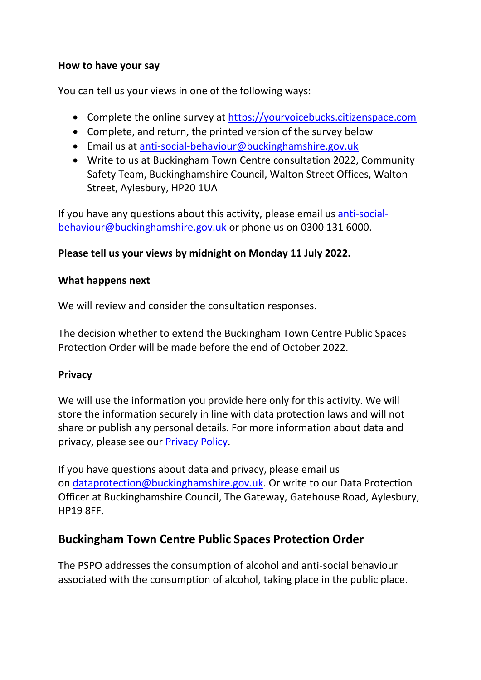#### **How to have your say**

You can tell us your views in one of the following ways:

- Complete the online survey at [https://yourvoicebucks.citizenspace.com](https://yourvoicebucks.citizenspace.com/)
- Complete, and return, the printed version of the survey below
- Email us at [anti-social-behaviour@buckinghamshire.gov.uk](mailto:anti-social-behaviour@buckinghamshire.gov.uk)
- Write to us at Buckingham Town Centre consultation 2022, Community Safety Team, Buckinghamshire Council, Walton Street Offices, Walton Street, Aylesbury, HP20 1UA

If you have any questions about this activity, please email us [anti-social](mailto:anti-social-behaviour@buckinghamshire.gov.uk)[behaviour@buckinghamshire.gov.uk](mailto:anti-social-behaviour@buckinghamshire.gov.uk) or phone us on 0300 131 6000.

## **Please tell us your views by midnight on Monday 11 July 2022.**

#### **What happens next**

We will review and consider the consultation responses.

The decision whether to extend the Buckingham Town Centre Public Spaces Protection Order will be made before the end of October 2022.

#### **Privacy**

We will use the information you provide here only for this activity. We will store the information securely in line with data protection laws and will not share or publish any personal details. For more information about data and privacy, please see our [Privacy Policy.](https://www.buckinghamshire.gov.uk/your-council/privacy/privacy-policy/)

If you have questions about data and privacy, please email us on [dataprotection@buckinghamshire.gov.uk.](mailto:dataprotection@buckinghamshire.gov.uk) Or write to our Data Protection Officer at Buckinghamshire Council, The Gateway, Gatehouse Road, Aylesbury, HP19 8FF.

## **Buckingham Town Centre Public Spaces Protection Order**

The PSPO addresses the consumption of alcohol and anti-social behaviour associated with the consumption of alcohol, taking place in the public place.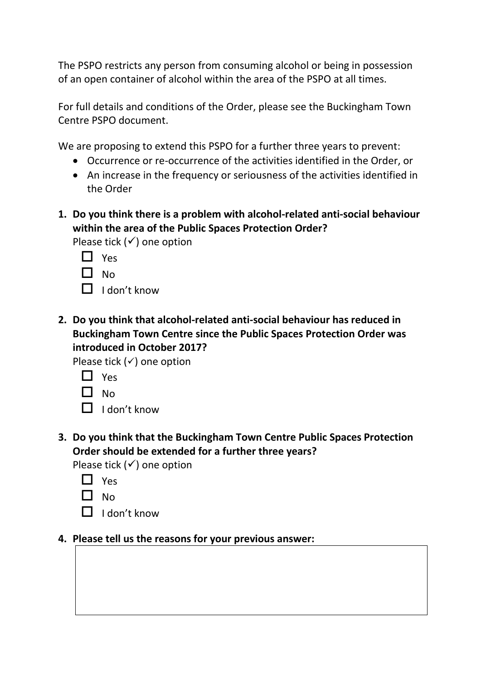The PSPO restricts any person from consuming alcohol or being in possession of an open container of alcohol within the area of the PSPO at all times.

For full details and conditions of the Order, please see the Buckingham Town Centre PSPO document.

We are proposing to extend this PSPO for a further three years to prevent:

- Occurrence or re-occurrence of the activities identified in the Order, or
- An increase in the frequency or seriousness of the activities identified in the Order
- **1. Do you think there is a problem with alcohol-related anti-social behaviour within the area of the Public Spaces Protection Order?**

Please tick  $($ ) one option

- $\Box$  Yes
- $\Box$  No
- $\Box$  I don't know
- **2. Do you think that alcohol-related anti-social behaviour has reduced in Buckingham Town Centre since the Public Spaces Protection Order was introduced in October 2017?**

Please tick  $($ ) one option

- $\Pi$  Yes
- $\Box$  No
- $\Box$  I don't know
- **3. Do you think that the Buckingham Town Centre Public Spaces Protection Order should be extended for a further three years?**

Please tick  $($  <math>\checkmark) one option

- □ Yes
- $\Pi_{NO}$
- $\Box$  I don't know

#### **4. Please tell us the reasons for your previous answer:**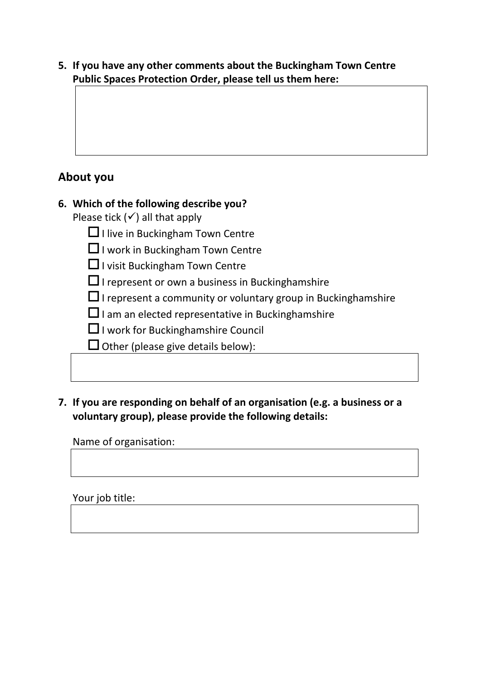**5. If you have any other comments about the Buckingham Town Centre Public Spaces Protection Order, please tell us them here:**

## **About you**

## **6. Which of the following describe you?**

Please tick  $(√)$  all that apply

 $\Box$  I live in Buckingham Town Centre

 $\Box$  I work in Buckingham Town Centre

 $\Box$  I visit Buckingham Town Centre

 $\square$  I represent or own a business in Bucking hamshire

 $\Box$  I represent a community or voluntary group in Bucking hamshire

 $\Box$  I am an elected representative in Bucking hamshire

 $\Box$  I work for Bucking hamshire Council

 $\Box$  Other (please give details below):

**7. If you are responding on behalf of an organisation (e.g. a business or a voluntary group), please provide the following details:**

Name of organisation:

Your job title: